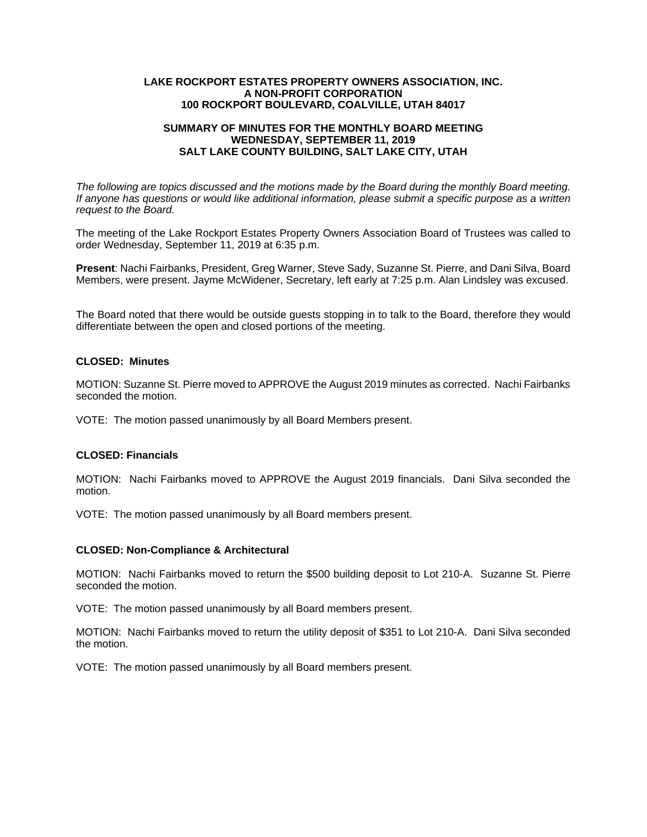#### **LAKE ROCKPORT ESTATES PROPERTY OWNERS ASSOCIATION, INC. A NON-PROFIT CORPORATION 100 ROCKPORT BOULEVARD, COALVILLE, UTAH 84017**

# **SUMMARY OF MINUTES FOR THE MONTHLY BOARD MEETING WEDNESDAY, SEPTEMBER 11, 2019 SALT LAKE COUNTY BUILDING, SALT LAKE CITY, UTAH**

*The following are topics discussed and the motions made by the Board during the monthly Board meeting. If anyone has questions or would like additional information, please submit a specific purpose as a written request to the Board.* 

The meeting of the Lake Rockport Estates Property Owners Association Board of Trustees was called to order Wednesday, September 11, 2019 at 6:35 p.m.

**Present**: Nachi Fairbanks, President, Greg Warner, Steve Sady, Suzanne St. Pierre, and Dani Silva, Board Members, were present. Jayme McWidener, Secretary, left early at 7:25 p.m. Alan Lindsley was excused.

The Board noted that there would be outside guests stopping in to talk to the Board, therefore they would differentiate between the open and closed portions of the meeting.

# **CLOSED: Minutes**

MOTION: Suzanne St. Pierre moved to APPROVE the August 2019 minutes as corrected. Nachi Fairbanks seconded the motion.

VOTE: The motion passed unanimously by all Board Members present.

## **CLOSED: Financials**

MOTION: Nachi Fairbanks moved to APPROVE the August 2019 financials. Dani Silva seconded the motion.

VOTE: The motion passed unanimously by all Board members present.

#### **CLOSED: Non-Compliance & Architectural**

MOTION: Nachi Fairbanks moved to return the \$500 building deposit to Lot 210-A. Suzanne St. Pierre seconded the motion.

VOTE: The motion passed unanimously by all Board members present.

MOTION: Nachi Fairbanks moved to return the utility deposit of \$351 to Lot 210-A. Dani Silva seconded the motion.

VOTE: The motion passed unanimously by all Board members present.